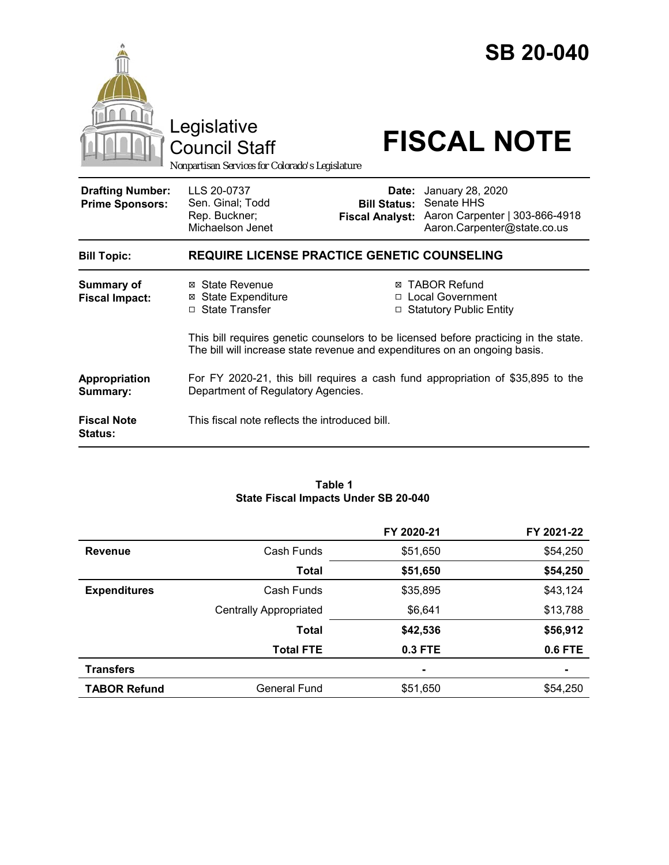|                                                   | Legislative<br><b>Council Staff</b><br>Nonpartisan Services for Colorado's Legislature                                |                                                        | <b>SB 20-040</b><br><b>FISCAL NOTE</b>                                                                                                                                |  |  |
|---------------------------------------------------|-----------------------------------------------------------------------------------------------------------------------|--------------------------------------------------------|-----------------------------------------------------------------------------------------------------------------------------------------------------------------------|--|--|
| <b>Drafting Number:</b><br><b>Prime Sponsors:</b> | LLS 20-0737<br>Sen. Ginal; Todd<br>Rep. Buckner;<br>Michaelson Jenet                                                  | Date:<br><b>Bill Status:</b><br><b>Fiscal Analyst:</b> | January 28, 2020<br>Senate HHS<br>Aaron Carpenter   303-866-4918<br>Aaron.Carpenter@state.co.us                                                                       |  |  |
| <b>Bill Topic:</b>                                | <b>REQUIRE LICENSE PRACTICE GENETIC COUNSELING</b>                                                                    |                                                        |                                                                                                                                                                       |  |  |
| <b>Summary of</b><br><b>Fiscal Impact:</b>        | ⊠ State Revenue<br><b>State Expenditure</b><br>⊠<br>□ State Transfer                                                  | □                                                      | <b>⊠ TABOR Refund</b><br>□ Local Government<br><b>Statutory Public Entity</b><br>This bill requires genetic counselors to be licensed before practicing in the state. |  |  |
|                                                   | The bill will increase state revenue and expenditures on an ongoing basis.                                            |                                                        |                                                                                                                                                                       |  |  |
| Appropriation<br>Summary:                         | For FY 2020-21, this bill requires a cash fund appropriation of \$35,895 to the<br>Department of Regulatory Agencies. |                                                        |                                                                                                                                                                       |  |  |
| <b>Fiscal Note</b><br>Status:                     | This fiscal note reflects the introduced bill.                                                                        |                                                        |                                                                                                                                                                       |  |  |

#### **Table 1 State Fiscal Impacts Under SB 20-040**

|                     |                               | FY 2020-21     | FY 2021-22     |
|---------------------|-------------------------------|----------------|----------------|
| <b>Revenue</b>      | Cash Funds                    | \$51,650       | \$54,250       |
|                     | Total                         | \$51,650       | \$54,250       |
| <b>Expenditures</b> | Cash Funds                    | \$35,895       | \$43,124       |
|                     | <b>Centrally Appropriated</b> | \$6,641        | \$13,788       |
|                     | <b>Total</b>                  | \$42,536       | \$56,912       |
|                     | <b>Total FTE</b>              | 0.3 FTE        | <b>0.6 FTE</b> |
| <b>Transfers</b>    |                               | $\blacksquare$ |                |
| <b>TABOR Refund</b> | General Fund                  | \$51,650       | \$54,250       |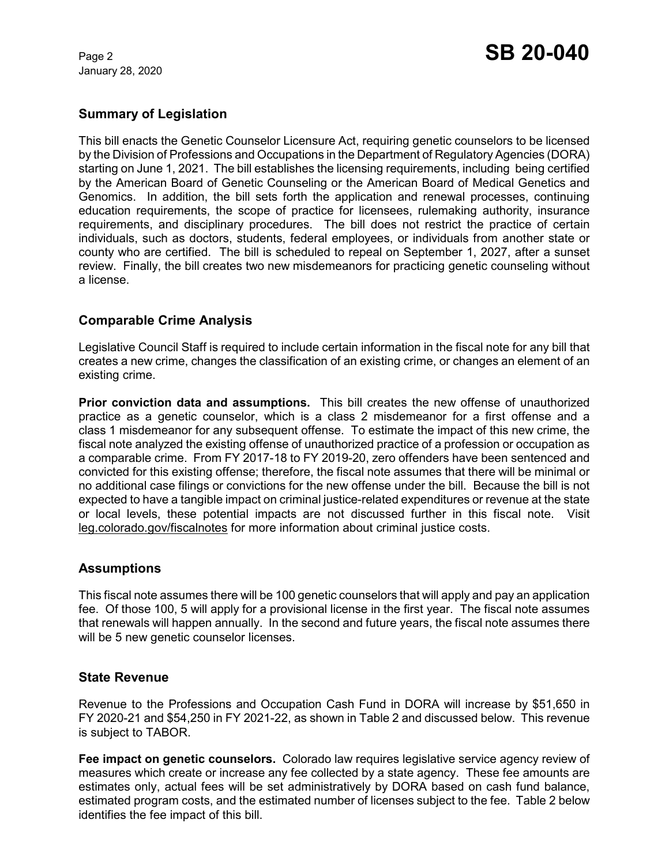January 28, 2020

# **Summary of Legislation**

This bill enacts the Genetic Counselor Licensure Act, requiring genetic counselors to be licensed by the Division of Professions and Occupations in the Department of Regulatory Agencies (DORA) starting on June 1, 2021. The bill establishes the licensing requirements, including being certified by the American Board of Genetic Counseling or the American Board of Medical Genetics and Genomics. In addition, the bill sets forth the application and renewal processes, continuing education requirements, the scope of practice for licensees, rulemaking authority, insurance requirements, and disciplinary procedures. The bill does not restrict the practice of certain individuals, such as doctors, students, federal employees, or individuals from another state or county who are certified. The bill is scheduled to repeal on September 1, 2027, after a sunset review. Finally, the bill creates two new misdemeanors for practicing genetic counseling without a license.

# **Comparable Crime Analysis**

Legislative Council Staff is required to include certain information in the fiscal note for any bill that creates a new crime, changes the classification of an existing crime, or changes an element of an existing crime.

**Prior conviction data and assumptions.** This bill creates the new offense of unauthorized practice as a genetic counselor, which is a class 2 misdemeanor for a first offense and a class 1 misdemeanor for any subsequent offense. To estimate the impact of this new crime, the fiscal note analyzed the existing offense of unauthorized practice of a profession or occupation as a comparable crime. From FY 2017-18 to FY 2019-20, zero offenders have been sentenced and convicted for this existing offense; therefore, the fiscal note assumes that there will be minimal or no additional case filings or convictions for the new offense under the bill. Because the bill is not expected to have a tangible impact on criminal justice-related expenditures or revenue at the state or local levels, these potential impacts are not discussed further in this fiscal note.Visit leg.colorado.gov/fiscalnotes for more information about criminal justice costs.

# **Assumptions**

This fiscal note assumes there will be 100 genetic counselors that will apply and pay an application fee. Of those 100, 5 will apply for a provisional license in the first year. The fiscal note assumes that renewals will happen annually. In the second and future years, the fiscal note assumes there will be 5 new genetic counselor licenses.

# **State Revenue**

Revenue to the Professions and Occupation Cash Fund in DORA will increase by \$51,650 in FY 2020-21 and \$54,250 in FY 2021-22, as shown in Table 2 and discussed below. This revenue is subject to TABOR.

**Fee impact on genetic counselors.** Colorado law requires legislative service agency review of measures which create or increase any fee collected by a state agency. These fee amounts are estimates only, actual fees will be set administratively by DORA based on cash fund balance, estimated program costs, and the estimated number of licenses subject to the fee. Table 2 below identifies the fee impact of this bill.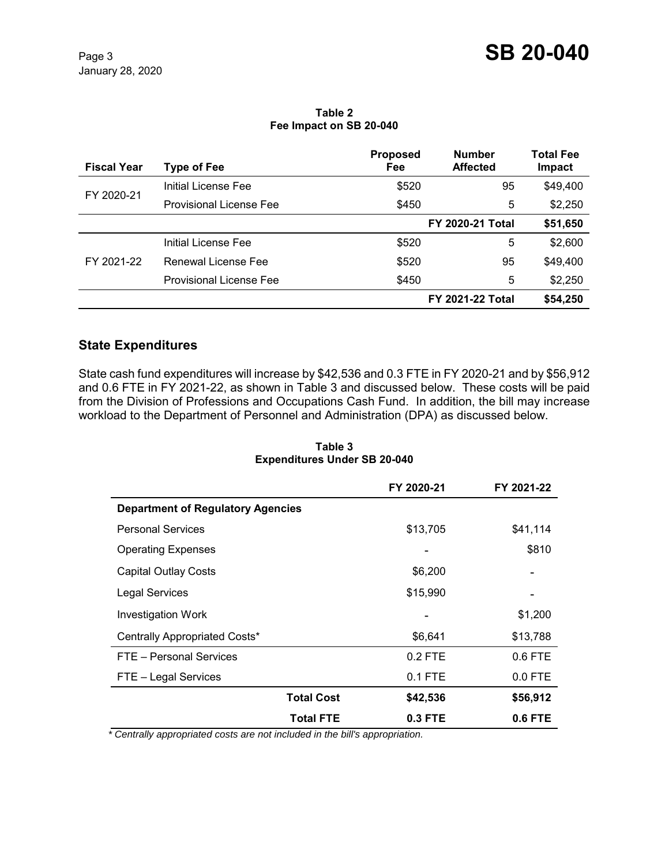#### **Table 2 Fee Impact on SB 20-040**

| <b>Fiscal Year</b> | Type of Fee                    | <b>Proposed</b><br>Fee  | <b>Number</b><br><b>Affected</b> | <b>Total Fee</b><br>Impact |
|--------------------|--------------------------------|-------------------------|----------------------------------|----------------------------|
| FY 2020-21         | Initial License Fee            | \$520                   | 95                               | \$49,400                   |
|                    | <b>Provisional License Fee</b> | \$450                   | 5                                | \$2,250                    |
|                    |                                | <b>FY 2020-21 Total</b> |                                  | \$51,650                   |
| FY 2021-22         | Initial License Fee            | \$520                   | 5                                | \$2,600                    |
|                    | Renewal License Fee            | \$520                   | 95                               | \$49,400                   |
|                    | <b>Provisional License Fee</b> | \$450                   | 5                                | \$2,250                    |
|                    |                                |                         | <b>FY 2021-22 Total</b>          | \$54,250                   |

# **State Expenditures**

State cash fund expenditures will increase by \$42,536 and 0.3 FTE in FY 2020-21 and by \$56,912 and 0.6 FTE in FY 2021-22, as shown in Table 3 and discussed below. These costs will be paid from the Division of Professions and Occupations Cash Fund. In addition, the bill may increase workload to the Department of Personnel and Administration (DPA) as discussed below.

# **FY 2020-21 FY 2021-22 Department of Regulatory Agencies**  Personal Services **business and State State State State State State State State State State State State State State State State State State State State State State State State State State State State State State State Stat** Operating Expenses **6810** S810 Capital Outlay Costs **6.200** - **6.200** - **6.200** - **6.200** - **1.200** - **1.200** - **1.200** -Legal Services **\$15,990** Investigation Work **6.1.2000 CONSERVING CONSERVANCE CONSERVANCE CONSERVANCE CONSERVANCE CONSERVANCE CONSERVANCE CONSERVANCE CONSERVANCE CONSERVANCE CONSERVANCE CONSERVANCE CONSERVANCE CONSERVANCE CONSERVANCE CONSERVANCE** Centrally Appropriated Costs\*  $$6,641$  \$13,788 FTE – Personal Services and the contract of the 0.2 FTE and 0.6 FTE FTE – Legal Services and the contract of the contract of the contract of the contract of the contract of the contract of the contract of the contract of the contract of the contract of the contract of the contract of the c **Total Cost \$42,536 \$56,912 Total FTE 0.3 FTE 0.6 FTE**

#### **Table 3 Expenditures Under SB 20-040**

 *\* Centrally appropriated costs are not included in the bill's appropriation.*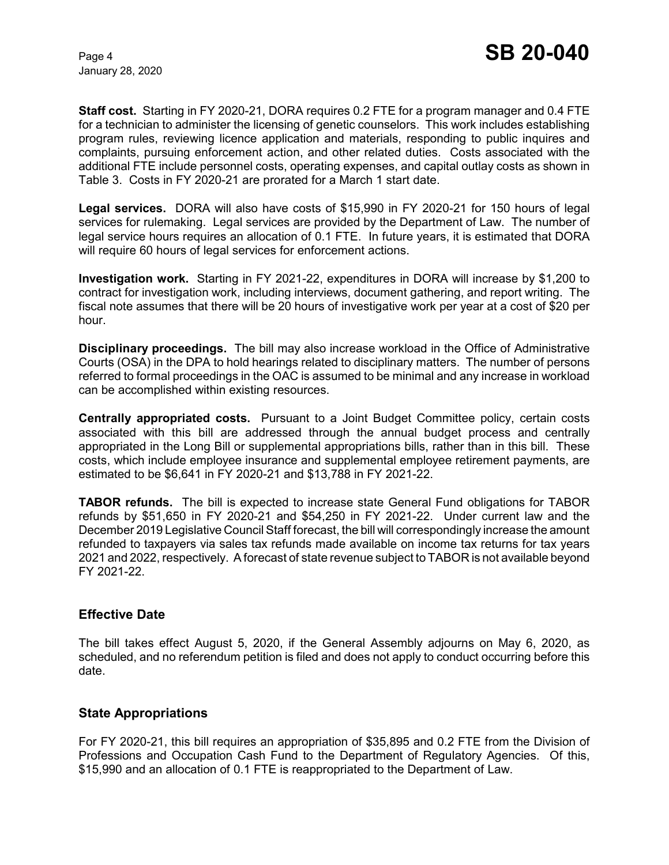January 28, 2020

**Staff cost.** Starting in FY 2020-21, DORA requires 0.2 FTE for a program manager and 0.4 FTE for a technician to administer the licensing of genetic counselors. This work includes establishing program rules, reviewing licence application and materials, responding to public inquires and complaints, pursuing enforcement action, and other related duties. Costs associated with the additional FTE include personnel costs, operating expenses, and capital outlay costs as shown in Table 3. Costs in FY 2020-21 are prorated for a March 1 start date.

**Legal services.** DORA will also have costs of \$15,990 in FY 2020-21 for 150 hours of legal services for rulemaking. Legal services are provided by the Department of Law. The number of legal service hours requires an allocation of 0.1 FTE. In future years, it is estimated that DORA will require 60 hours of legal services for enforcement actions.

**Investigation work.** Starting in FY 2021-22, expenditures in DORA will increase by \$1,200 to contract for investigation work, including interviews, document gathering, and report writing. The fiscal note assumes that there will be 20 hours of investigative work per year at a cost of \$20 per hour.

**Disciplinary proceedings.** The bill may also increase workload in the Office of Administrative Courts (OSA) in the DPA to hold hearings related to disciplinary matters. The number of persons referred to formal proceedings in the OAC is assumed to be minimal and any increase in workload can be accomplished within existing resources.

**Centrally appropriated costs.** Pursuant to a Joint Budget Committee policy, certain costs associated with this bill are addressed through the annual budget process and centrally appropriated in the Long Bill or supplemental appropriations bills, rather than in this bill. These costs, which include employee insurance and supplemental employee retirement payments, are estimated to be \$6,641 in FY 2020-21 and \$13,788 in FY 2021-22.

**TABOR refunds.** The bill is expected to increase state General Fund obligations for TABOR refunds by \$51,650 in FY 2020-21 and \$54,250 in FY 2021-22. Under current law and the December 2019 Legislative Council Staff forecast, the bill will correspondingly increase the amount refunded to taxpayers via sales tax refunds made available on income tax returns for tax years 2021 and 2022, respectively. A forecast of state revenue subject to TABOR is not available beyond FY 2021-22.

# **Effective Date**

The bill takes effect August 5, 2020, if the General Assembly adjourns on May 6, 2020, as scheduled, and no referendum petition is filed and does not apply to conduct occurring before this date.

# **State Appropriations**

For FY 2020-21, this bill requires an appropriation of \$35,895 and 0.2 FTE from the Division of Professions and Occupation Cash Fund to the Department of Regulatory Agencies. Of this, \$15,990 and an allocation of 0.1 FTE is reappropriated to the Department of Law.